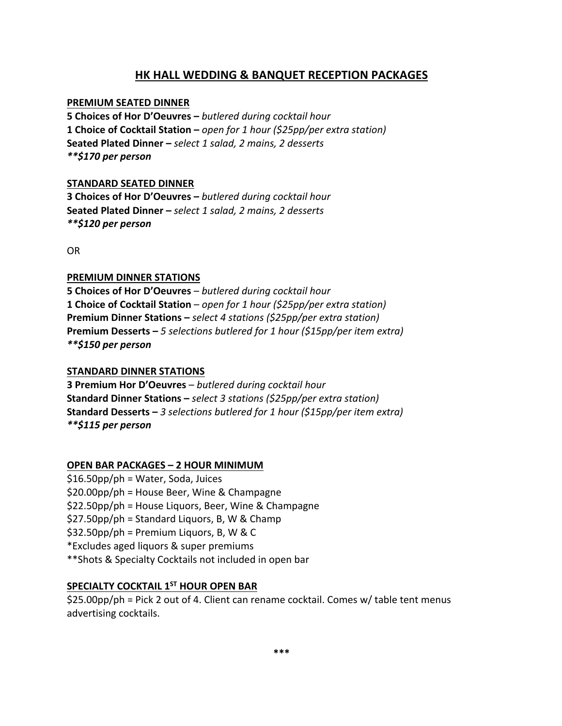# **HK HALL WEDDING & BANQUET RECEPTION PACKAGES**

## **PREMIUM SEATED DINNER**

**5 Choices of Hor D'Oeuvres –** *butlered during cocktail hour* **1 Choice of Cocktail Station –** *open for 1 hour (\$25pp/per extra station)* **Seated Plated Dinner –** *select 1 salad, 2 mains, 2 desserts \*\*\$170 per person*

## **STANDARD SEATED DINNER**

**3 Choices of Hor D'Oeuvres –** *butlered during cocktail hour* **Seated Plated Dinner –** *select 1 salad, 2 mains, 2 desserts \*\*\$120 per person*

OR

### **PREMIUM DINNER STATIONS**

**5 Choices of Hor D'Oeuvres** – *butlered during cocktail hour* **1 Choice of Cocktail Station** – *open for 1 hour (\$25pp/per extra station)* **Premium Dinner Stations –** *select 4 stations (\$25pp/per extra station)* **Premium Desserts –** *5 selections butlered for 1 hour (\$15pp/per item extra) \*\*\$150 per person*

### **STANDARD DINNER STATIONS**

**3 Premium Hor D'Oeuvres** – *butlered during cocktail hour* **Standard Dinner Stations –** *select 3 stations (\$25pp/per extra station)* **Standard Desserts –** *3 selections butlered for 1 hour (\$15pp/per item extra) \*\*\$115 per person*

### **OPEN BAR PACKAGES – 2 HOUR MINIMUM**

\$16.50pp/ph = Water, Soda, Juices \$20.00pp/ph = House Beer, Wine & Champagne \$22.50pp/ph = House Liquors, Beer, Wine & Champagne \$27.50pp/ph = Standard Liquors, B, W & Champ \$32.50pp/ph = Premium Liquors, B, W & C \*Excludes aged liquors & super premiums \*\*Shots & Specialty Cocktails not included in open bar

## **SPECIALTY COCKTAIL 1ST HOUR OPEN BAR**

\$25.00pp/ph = Pick 2 out of 4. Client can rename cocktail. Comes w/ table tent menus advertising cocktails.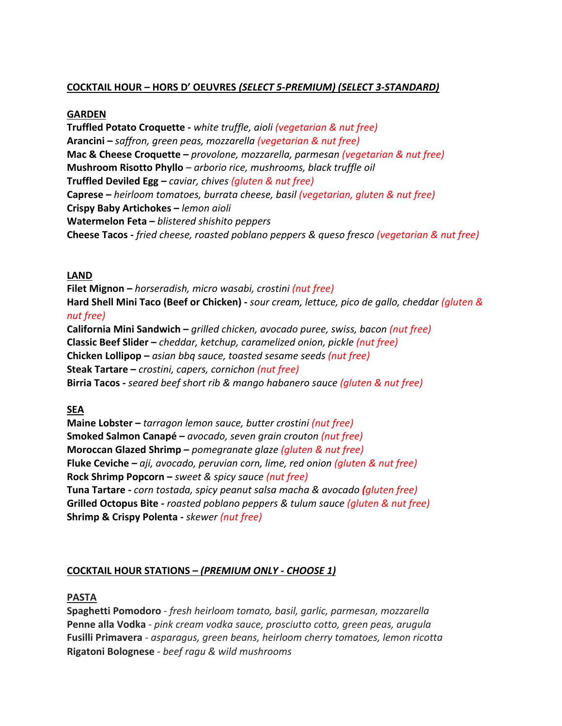## **COCKTAIL HOUR – HORS D' OEUVRES** *(SELECT 5-PREMIUM) (SELECT 3-STANDARD)*

## **GARDEN**

**Truffled Potato Croquette -** *white truffle, aioli (vegetarian & nut free)* **Arancini –** *saffron, green peas, mozzarella (vegetarian & nut free)* **Mac & Cheese Croquette –** *provolone, mozzarella, parmesan (vegetarian & nut free)* **Mushroom Risotto Phyllo** – *arborio rice, mushrooms, black truffle oil* **Truffled Deviled Egg –** *caviar, chives (gluten & nut free)* **Caprese –** *heirloom tomatoes, burrata cheese, basil (vegetarian, gluten & nut free)* **Crispy Baby Artichokes –** *lemon aioli* **Watermelon Feta –** *blistered shishito peppers* **Cheese Tacos -** *fried cheese, roasted poblano peppers & queso fresco (vegetarian & nut free)*

## **LAND**

**Filet Mignon –** *horseradish, micro wasabi, crostini (nut free)* **Hard Shell Mini Taco (Beef or Chicken) -** *sour cream, lettuce, pico de gallo, cheddar (gluten & nut free)* **California Mini Sandwich –** *grilled chicken, avocado puree, swiss, bacon (nut free)*

**Classic Beef Slider –** *cheddar, ketchup, caramelized onion, pickle (nut free)* **Chicken Lollipop –** *asian bbq sauce, toasted sesame seeds (nut free)* **Steak Tartare –** *crostini, capers, cornichon (nut free)* **Birria Tacos -** *seared beef short rib & mango habanero sauce (gluten & nut free)*

## **SEA**

**Maine Lobster –** *tarragon lemon sauce, butter crostini (nut free)* **Smoked Salmon Canapé –** *avocado, seven grain crouton (nut free)* **Moroccan Glazed Shrimp –** *pomegranate glaze (gluten & nut free)* **Fluke Ceviche –** *aji, avocado, peruvian corn, lime, red onion (gluten & nut free)* **Rock Shrimp Popcorn –** *sweet & spicy sauce (nut free)* **Tuna Tartare -** *corn tostada, spicy peanut salsa macha & avocado (gluten free)* **Grilled Octopus Bite -** *roasted poblano peppers & tulum sauce (gluten & nut free)* **Shrimp & Crispy Polenta -** *skewer (nut free)*

## **COCKTAIL HOUR STATIONS** *– (PREMIUM ONLY - CHOOSE 1)*

### **PASTA**

**Spaghetti Pomodoro** - *fresh heirloom tomato, basil, garlic, parmesan, mozzarella* **Penne alla Vodka** *- pink cream vodka sauce, prosciutto cotto, green peas, arugula* **Fusilli Primavera** *- asparagus, green beans, heirloom cherry tomatoes, lemon ricotta* **Rigatoni Bolognese** *- beef ragu & wild mushrooms*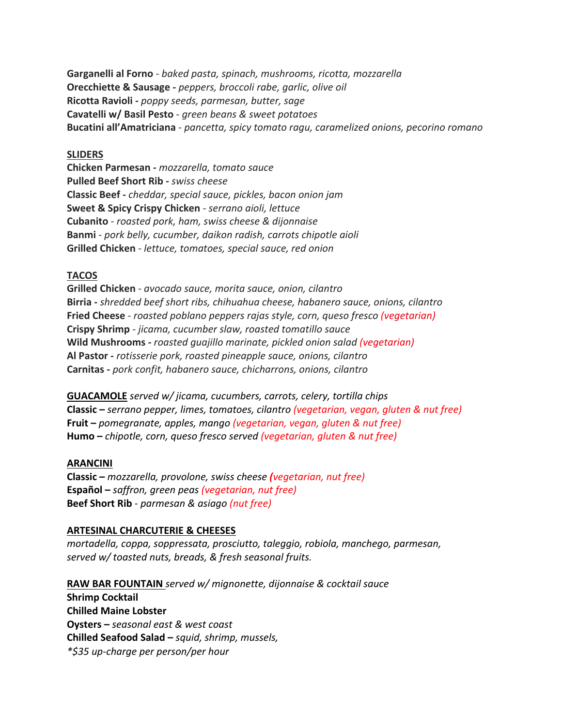**Garganelli al Forno** *- baked pasta, spinach, mushrooms, ricotta, mozzarella* **Orecchiette & Sausage** *- peppers, broccoli rabe, garlic, olive oil* **Ricotta Ravioli** *- poppy seeds, parmesan, butter, sage* **Cavatelli w/ Basil Pesto** *- green beans & sweet potatoes* **Bucatini all'Amatriciana** *- pancetta, spicy tomato ragu, caramelized onions, pecorino romano*

#### **SLIDERS**

**Chicken Parmesan** *- mozzarella, tomato sauce* **Pulled Beef Short Rib** *- swiss cheese* **Classic Beef** *- cheddar, special sauce, pickles, bacon onion jam* **Sweet & Spicy Crispy Chicken** *- serrano aioli, lettuce* **Cubanito** *- roasted pork, ham, swiss cheese & dijonnaise* **Banmi** - *pork belly, cucumber, daikon radish, carrots chipotle aioli* **Grilled Chicken** *- lettuce, tomatoes, special sauce, red onion*

#### **TACOS**

**Grilled Chicken** *- avocado sauce, morita sauce, onion, cilantro* **Birria -** *shredded beef short ribs, chihuahua cheese, habanero sauce, onions, cilantro* **Fried Cheese** *- roasted poblano peppers rajas style, corn, queso fresco (vegetarian)* **Crispy Shrimp** *- jicama, cucumber slaw, roasted tomatillo sauce* **Wild Mushrooms** *- roasted guajillo marinate, pickled onion salad (vegetarian)* **Al Pastor -** *rotisserie pork, roasted pineapple sauce, onions, cilantro* **Carnitas -** *pork confit, habanero sauce, chicharrons, onions, cilantro*

**GUACAMOLE** *served w/ jicama, cucumbers, carrots, celery, tortilla chips* **Classic –** *serrano pepper, limes, tomatoes, cilantro (vegetarian, vegan, gluten & nut free)*  **Fruit –** *pomegranate, apples, mango (vegetarian, vegan, gluten & nut free)* **Humo –** *chipotle, corn, queso fresco served (vegetarian, gluten & nut free)*

#### **ARANCINI**

**Classic –** *mozzarella, provolone, swiss cheese (vegetarian, nut free)* **Español –** *saffron, green peas (vegetarian, nut free)* **Beef Short Rib** *- parmesan & asiago (nut free)*

#### **ARTESINAL CHARCUTERIE & CHEESES**

*mortadella, coppa, soppressata, prosciutto, taleggio, robiola, manchego, parmesan, served w/ toasted nuts, breads, & fresh seasonal fruits.*

**RAW BAR FOUNTAIN** *served w/ mignonette, dijonnaise & cocktail sauce* **Shrimp Cocktail Chilled Maine Lobster Oysters –** *seasonal east & west coast* **Chilled Seafood Salad –** *squid, shrimp, mussels, \*\$35 up-charge per person/per hour*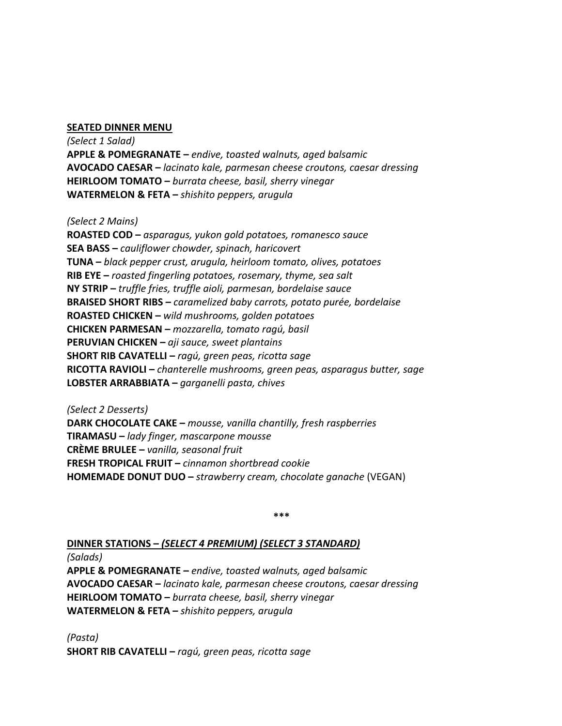#### **SEATED DINNER MENU**

*(Select 1 Salad)* **APPLE & POMEGRANATE –** *endive, toasted walnuts, aged balsamic* **AVOCADO CAESAR –** *lacinato kale, parmesan cheese croutons, caesar dressing* **HEIRLOOM TOMATO –** *burrata cheese, basil, sherry vinegar* **WATERMELON & FETA –** *shishito peppers, arugula*

*(Select 2 Mains)*

**ROASTED COD –** *asparagus, yukon gold potatoes, romanesco sauce* **SEA BASS –** *cauliflower chowder, spinach, haricovert* **TUNA –** *black pepper crust, arugula, heirloom tomato, olives, potatoes* **RIB EYE –** *roasted fingerling potatoes, rosemary, thyme, sea salt* **NY STRIP –** *truffle fries, truffle aioli, parmesan, bordelaise sauce* **BRAISED SHORT RIBS –** *caramelized baby carrots, potato purée, bordelaise* **ROASTED CHICKEN –** *wild mushrooms, golden potatoes* **CHICKEN PARMESAN –** *mozzarella, tomato ragú, basil* **PERUVIAN CHICKEN –** *aji sauce, sweet plantains* **SHORT RIB CAVATELLI –** *ragú, green peas, ricotta sage* **RICOTTA RAVIOLI –** *chanterelle mushrooms, green peas, asparagus butter, sage* **LOBSTER ARRABBIATA –** *garganelli pasta, chives*

*(Select 2 Desserts)* **DARK CHOCOLATE CAKE –** *mousse, vanilla chantilly, fresh raspberries* **TIRAMASU –** *lady finger, mascarpone mousse* **CRÈME BRULEE –** *vanilla, seasonal fruit* **FRESH TROPICAL FRUIT –** *cinnamon shortbread cookie* **HOMEMADE DONUT DUO –** *strawberry cream, chocolate ganache* (VEGAN)

**\*\*\***

**DINNER STATIONS –** *(SELECT 4 PREMIUM) (SELECT 3 STANDARD)*

*(Salads)*

**APPLE & POMEGRANATE –** *endive, toasted walnuts, aged balsamic* **AVOCADO CAESAR –** *lacinato kale, parmesan cheese croutons, caesar dressing* **HEIRLOOM TOMATO –** *burrata cheese, basil, sherry vinegar* **WATERMELON & FETA –** *shishito peppers, arugula*

*(Pasta)* **SHORT RIB CAVATELLI –** *ragú, green peas, ricotta sage*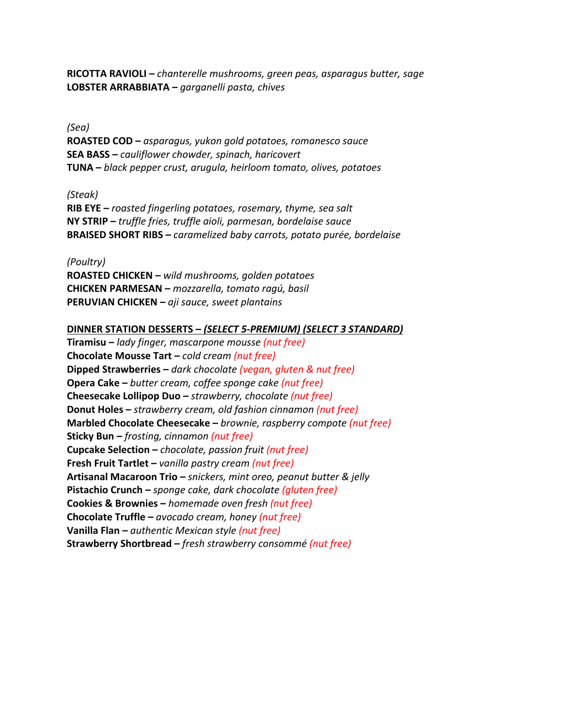**RICOTTA RAVIOLI –** *chanterelle mushrooms, green peas, asparagus butter, sage* **LOBSTER ARRABBIATA –** *garganelli pasta, chives*

### *(Sea)*

**ROASTED COD –** *asparagus, yukon gold potatoes, romanesco sauce* **SEA BASS –** *cauliflower chowder, spinach, haricovert* **TUNA –** *black pepper crust, arugula, heirloom tomato, olives, potatoes*

#### *(Steak)*

**RIB EYE –** *roasted fingerling potatoes, rosemary, thyme, sea salt* **NY STRIP –** *truffle fries, truffle aioli, parmesan, bordelaise sauce* **BRAISED SHORT RIBS –** *caramelized baby carrots, potato purée, bordelaise*

*(Poultry)* **ROASTED CHICKEN –** *wild mushrooms, golden potatoes* **CHICKEN PARMESAN –** *mozzarella, tomato ragú, basil* **PERUVIAN CHICKEN –** *aji sauce, sweet plantains*

#### **DINNER STATION DESSERTS –** *(SELECT 5-PREMIUM) (SELECT 3 STANDARD)*

**Tiramisu –** *lady finger, mascarpone mousse (nut free)* **Chocolate Mousse Tart –** *cold cream (nut free)* **Dipped Strawberries –** *dark chocolate (vegan, gluten & nut free)* **Opera Cake –** *butter cream, coffee sponge cake (nut free)* **Cheesecake Lollipop Duo –** *strawberry, chocolate (nut free)* **Donut Holes –** *strawberry cream, old fashion cinnamon (nut free)* **Marbled Chocolate Cheesecake –** *brownie, raspberry compote (nut free)* **Sticky Bun –** *frosting, cinnamon (nut free)* **Cupcake Selection –** *chocolate, passion fruit (nut free)* **Fresh Fruit Tartlet –** *vanilla pastry cream (nut free)* **Artisanal Macaroon Trio –** *snickers, mint oreo, peanut butter & jelly* **Pistachio Crunch –** *sponge cake, dark chocolate (gluten free)* **Cookies & Brownies –** *homemade oven fresh (nut free)* **Chocolate Truffle –** *avocado cream, honey (nut free)* **Vanilla Flan –** *authentic Mexican style (nut free)* **Strawberry Shortbread –** *fresh strawberry consommé (nut free)*